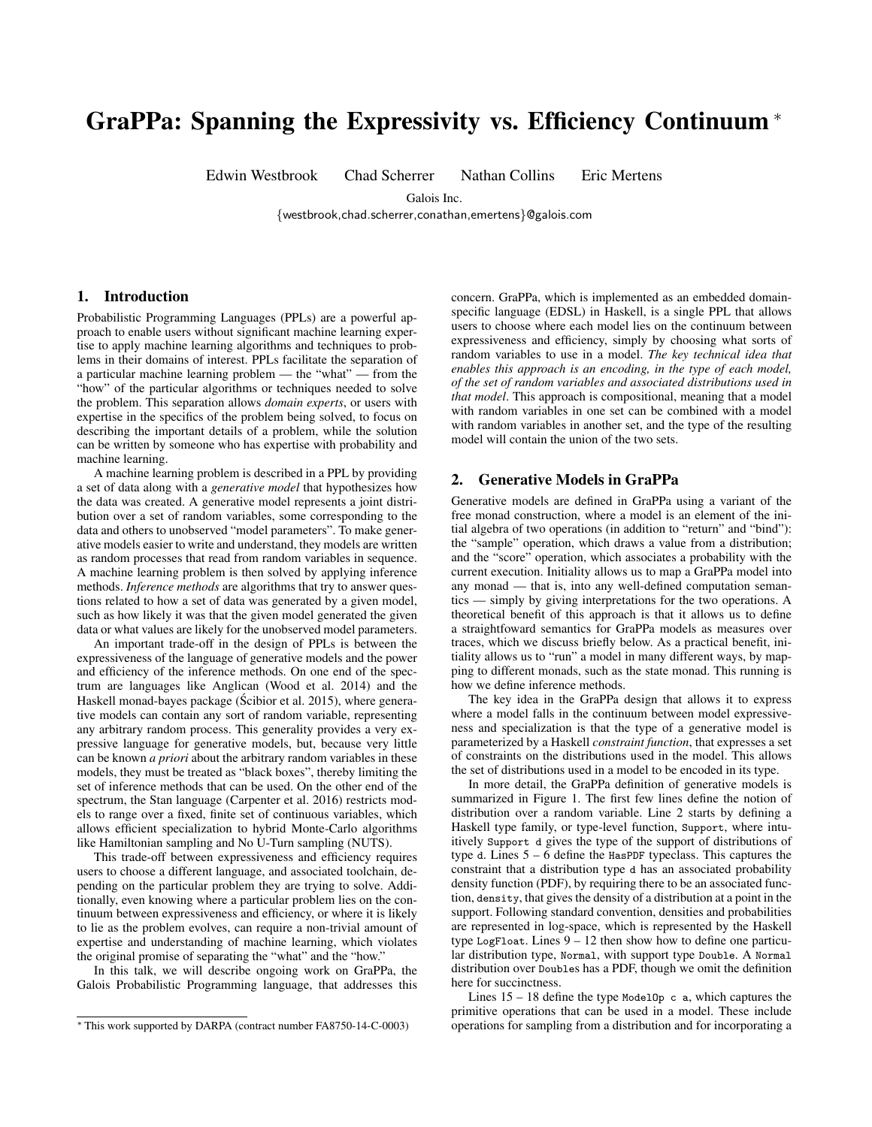# GraPPa: Spanning the Expressivity vs. Efficiency Continuum <sup>∗</sup>

Edwin Westbrook Chad Scherrer Nathan Collins Eric Mertens

Galois Inc.

{westbrook,chad.scherrer,conathan,emertens}@galois.com

## 1. Introduction

Probabilistic Programming Languages (PPLs) are a powerful approach to enable users without significant machine learning expertise to apply machine learning algorithms and techniques to problems in their domains of interest. PPLs facilitate the separation of a particular machine learning problem — the "what" — from the "how" of the particular algorithms or techniques needed to solve the problem. This separation allows *domain experts*, or users with expertise in the specifics of the problem being solved, to focus on describing the important details of a problem, while the solution can be written by someone who has expertise with probability and machine learning.

A machine learning problem is described in a PPL by providing a set of data along with a *generative model* that hypothesizes how the data was created. A generative model represents a joint distribution over a set of random variables, some corresponding to the data and others to unobserved "model parameters". To make generative models easier to write and understand, they models are written as random processes that read from random variables in sequence. A machine learning problem is then solved by applying inference methods. *Inference methods* are algorithms that try to answer questions related to how a set of data was generated by a given model, such as how likely it was that the given model generated the given data or what values are likely for the unobserved model parameters.

An important trade-off in the design of PPLs is between the expressiveness of the language of generative models and the power and efficiency of the inference methods. On one end of the spectrum are languages like Anglican (Wood et al. 2014) and the Haskell monad-bayes package (Scibior et al. 2015), where generative models can contain any sort of random variable, representing any arbitrary random process. This generality provides a very expressive language for generative models, but, because very little can be known *a priori* about the arbitrary random variables in these models, they must be treated as "black boxes", thereby limiting the set of inference methods that can be used. On the other end of the spectrum, the Stan language (Carpenter et al. 2016) restricts models to range over a fixed, finite set of continuous variables, which allows efficient specialization to hybrid Monte-Carlo algorithms like Hamiltonian sampling and No U-Turn sampling (NUTS).

This trade-off between expressiveness and efficiency requires users to choose a different language, and associated toolchain, depending on the particular problem they are trying to solve. Additionally, even knowing where a particular problem lies on the continuum between expressiveness and efficiency, or where it is likely to lie as the problem evolves, can require a non-trivial amount of expertise and understanding of machine learning, which violates the original promise of separating the "what" and the "how."

In this talk, we will describe ongoing work on GraPPa, the Galois Probabilistic Programming language, that addresses this

concern. GraPPa, which is implemented as an embedded domainspecific language (EDSL) in Haskell, is a single PPL that allows users to choose where each model lies on the continuum between expressiveness and efficiency, simply by choosing what sorts of random variables to use in a model. *The key technical idea that enables this approach is an encoding, in the type of each model, of the set of random variables and associated distributions used in that model*. This approach is compositional, meaning that a model with random variables in one set can be combined with a model with random variables in another set, and the type of the resulting model will contain the union of the two sets.

## 2. Generative Models in GraPPa

Generative models are defined in GraPPa using a variant of the free monad construction, where a model is an element of the initial algebra of two operations (in addition to "return" and "bind"): the "sample" operation, which draws a value from a distribution; and the "score" operation, which associates a probability with the current execution. Initiality allows us to map a GraPPa model into any monad — that is, into any well-defined computation semantics — simply by giving interpretations for the two operations. A theoretical benefit of this approach is that it allows us to define a straightfoward semantics for GraPPa models as measures over traces, which we discuss briefly below. As a practical benefit, initiality allows us to "run" a model in many different ways, by mapping to different monads, such as the state monad. This running is how we define inference methods.

The key idea in the GraPPa design that allows it to express where a model falls in the continuum between model expressiveness and specialization is that the type of a generative model is parameterized by a Haskell *constraint function*, that expresses a set of constraints on the distributions used in the model. This allows the set of distributions used in a model to be encoded in its type.

In more detail, the GraPPa definition of generative models is summarized in Figure 1. The first few lines define the notion of distribution over a random variable. Line 2 starts by defining a Haskell type family, or type-level function, Support, where intuitively Support d gives the type of the support of distributions of type d. Lines 5 – 6 define the HasPDF typeclass. This captures the constraint that a distribution type d has an associated probability density function (PDF), by requiring there to be an associated function, density, that gives the density of a distribution at a point in the support. Following standard convention, densities and probabilities are represented in log-space, which is represented by the Haskell type LogFloat. Lines 9 – 12 then show how to define one particular distribution type, Normal, with support type Double. A Normal distribution over Doubles has a PDF, though we omit the definition here for succinctness.

Lines  $15 - 18$  define the type ModelOp c a, which captures the primitive operations that can be used in a model. These include operations for sampling from a distribution and for incorporating a

<sup>∗</sup> This work supported by DARPA (contract number FA8750-14-C-0003)